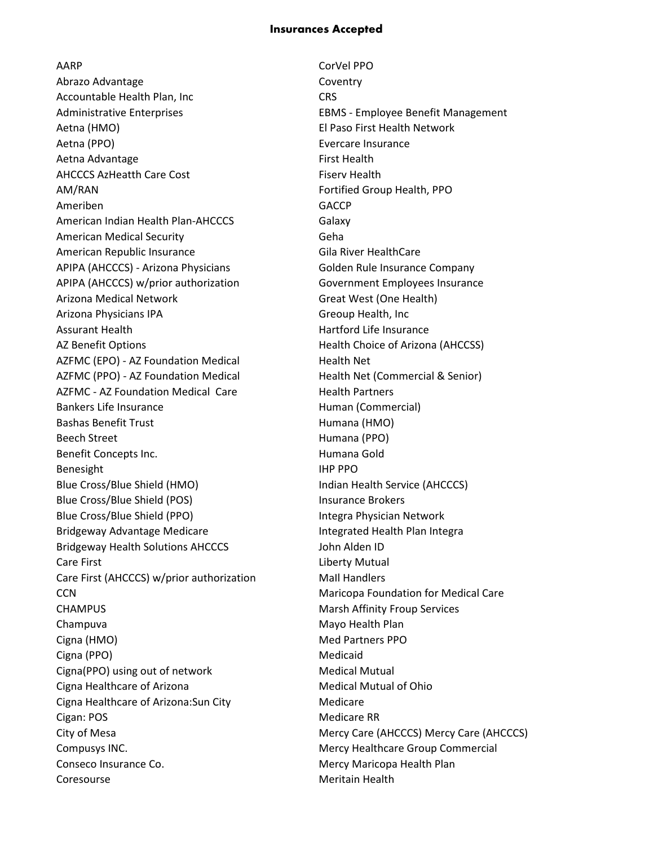## **Insurances Accepted**

AARP CorVel PPO Abrazo Advantage Coventry Accountable Health Plan, Inc **CRS** Administrative Enterprises **EBMS** - Employee Benefit Management Aetna (HMO) El Paso First Health Network Aetna (PPO) Evercare Insurance Aetna Advantage **First Health** AHCCCS AzHeatth Care Cost Fiserv Health AM/RAN Fortified Group Health, PPO Ameriben GACCP American Indian Health Plan-AHCCCS Galaxy American Medical Security **Community** Geha American Republic Insurance Gila River HealthCare APIPA (AHCCCS) - Arizona Physicians Golden Rule Insurance Company APIPA (AHCCCS) w/prior authorization Government Employees Insurance Arizona Medical Network Great West (One Health) Arizona Physicians IPA Greoup Health, Inc Assurant Health **Hartford Life Insurance Hartford Life Insurance** AZ Benefit Options **Health Choice of Arizona (AHCCSS)** AZFMC (EPO) - AZ Foundation Medical Health Net AZFMC (PPO) - AZ Foundation Medical Health Net (Commercial & Senior) AZFMC - AZ Foundation Medical Care Health Partners Bankers Life Insurance **Human (Commercial)** Bashas Benefit Trust **Humana** (HMO) Beech Street **Humana** (PPO) Benefit Concepts Inc. The Concepts Inc. The Concepts Inc. Benesight **IHP PPO** Blue Cross/Blue Shield (HMO) and indian Health Service (AHCCCS) Blue Cross/Blue Shield (POS) Insurance Brokers Blue Cross/Blue Shield (PPO) **Integra Physician Network** Bridgeway Advantage Medicare **Integrated Health Plan Integrated** Health Plan Integra Bridgeway Health Solutions AHCCCS John Alden ID Care First **Care First** Care **Liberty Mutual** Care First (AHCCCS) w/prior authorization Mall Handlers CCN Maricopa Foundation for Medical Care CHAMPUS Marsh Affinity Froup Services Champuva Mayo Health Plan Cigna (HMO) and Discovering the Med Partners PPO Cigna (PPO) and the contract of the Medicaid Cigna(PPO) using out of network Medical Mutual Cigna Healthcare of Arizona Medical Mutual of Ohio Cigna Healthcare of Arizona: Sun City Medicare Cigan: POS Medicare RR City of Mesa Mercy Care (AHCCCS) Mercy Care (AHCCCS) Compusys INC. **Mercy Healthcare Group Commercial** Conseco Insurance Co. **Mercy Maricopa Health Plan** Coresourse **Meritain Health**